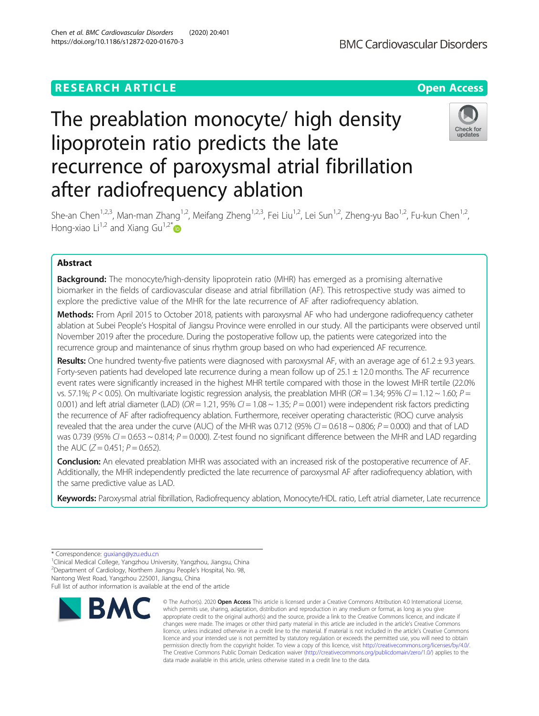# **RESEARCH ARTICLE Example 2014 12:30 The Contract of Contract ACCESS**

# The preablation monocyte/ high density lipoprotein ratio predicts the late recurrence of paroxysmal atrial fibrillation after radiofrequency ablation

She-an Chen<sup>1,2,3</sup>, Man-man Zhang<sup>1,2</sup>, Meifang Zheng<sup>1,2,3</sup>, Fei Liu<sup>1,2</sup>, Lei Sun<sup>1,2</sup>, Zheng-yu Bao<sup>1,2</sup>, Fu-kun Chen<sup>1,2</sup>, Hong-xiao Li<sup>1,2</sup> and Xiang Gu<sup>1,2[\\*](http://orcid.org/0000-0002-0240-9403)</sup>

# Abstract

**Background:** The monocyte/high-density lipoprotein ratio (MHR) has emerged as a promising alternative biomarker in the fields of cardiovascular disease and atrial fibrillation (AF). This retrospective study was aimed to explore the predictive value of the MHR for the late recurrence of AF after radiofrequency ablation.

Methods: From April 2015 to October 2018, patients with paroxysmal AF who had undergone radiofrequency catheter ablation at Subei People's Hospital of Jiangsu Province were enrolled in our study. All the participants were observed until November 2019 after the procedure. During the postoperative follow up, the patients were categorized into the recurrence group and maintenance of sinus rhythm group based on who had experienced AF recurrence.

Results: One hundred twenty-five patients were diagnosed with paroxysmal AF, with an average age of 61.2  $\pm$  9.3 years. Forty-seven patients had developed late recurrence during a mean follow up of 25.1 ± 12.0 months. The AF recurrence event rates were significantly increased in the highest MHR tertile compared with those in the lowest MHR tertile (22.0% vs. 57.1%; P < 0.05). On multivariate logistic regression analysis, the preablation MHR (OR = 1.34; 95% CI = 1.12 ~ 1.60; P = 0.001) and left atrial diameter (LAD) (OR = 1.21, 95% CI = 1.08  $\sim$  1.35; P = 0.001) were independent risk factors predicting the recurrence of AF after radiofrequency ablation. Furthermore, receiver operating characteristic (ROC) curve analysis revealed that the area under the curve (AUC) of the MHR was 0.712 (95%  $Cl = 0.618 \sim 0.806$ ;  $P = 0.000$ ) and that of LAD was 0.739 (95%  $CI = 0.653 \sim 0.814$ ;  $P = 0.000$ ). Z-test found no significant difference between the MHR and LAD regarding the AUC ( $Z = 0.451$ ;  $P = 0.652$ ).

Conclusion: An elevated preablation MHR was associated with an increased risk of the postoperative recurrence of AF. Additionally, the MHR independently predicted the late recurrence of paroxysmal AF after radiofrequency ablation, with the same predictive value as LAD.

Keywords: Paroxysmal atrial fibrillation, Radiofrequency ablation, Monocyte/HDL ratio, Left atrial diameter, Late recurrence

<sup>1</sup>Clinical Medical College, Yangzhou University, Yangzhou, Jiangsu, China 2 Department of Cardiology, Northern Jiangsu People's Hospital, No. 98, Nantong West Road, Yangzhou 225001, Jiangsu, China

Full list of author information is available at the end of the article









<sup>\*</sup> Correspondence: [guxiang@yzu.edu.cn](mailto:guxiang@yzu.edu.cn) <sup>1</sup>

<sup>©</sup> The Author(s), 2020 **Open Access** This article is licensed under a Creative Commons Attribution 4.0 International License, which permits use, sharing, adaptation, distribution and reproduction in any medium or format, as long as you give appropriate credit to the original author(s) and the source, provide a link to the Creative Commons licence, and indicate if changes were made. The images or other third party material in this article are included in the article's Creative Commons licence, unless indicated otherwise in a credit line to the material. If material is not included in the article's Creative Commons licence and your intended use is not permitted by statutory regulation or exceeds the permitted use, you will need to obtain permission directly from the copyright holder. To view a copy of this licence, visit [http://creativecommons.org/licenses/by/4.0/.](http://creativecommons.org/licenses/by/4.0/) The Creative Commons Public Domain Dedication waiver [\(http://creativecommons.org/publicdomain/zero/1.0/](http://creativecommons.org/publicdomain/zero/1.0/)) applies to the data made available in this article, unless otherwise stated in a credit line to the data.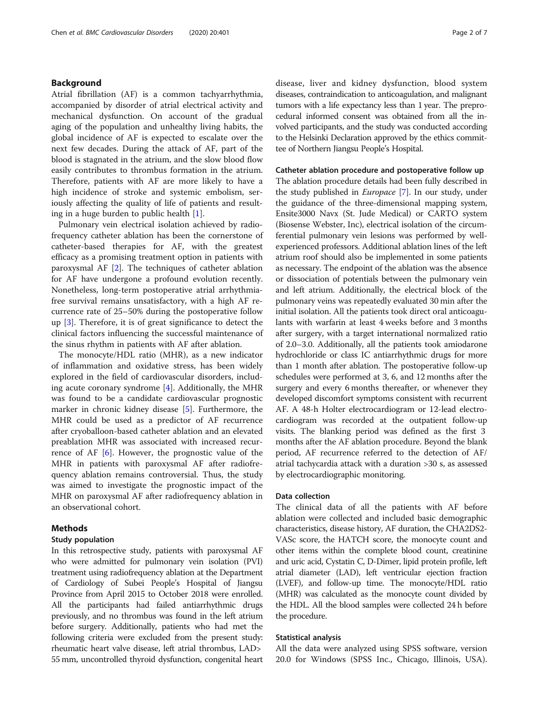# Background

Atrial fibrillation (AF) is a common tachyarrhythmia, accompanied by disorder of atrial electrical activity and mechanical dysfunction. On account of the gradual aging of the population and unhealthy living habits, the global incidence of AF is expected to escalate over the next few decades. During the attack of AF, part of the blood is stagnated in the atrium, and the slow blood flow easily contributes to thrombus formation in the atrium. Therefore, patients with AF are more likely to have a high incidence of stroke and systemic embolism, seriously affecting the quality of life of patients and resulting in a huge burden to public health  $[1]$  $[1]$ .

Pulmonary vein electrical isolation achieved by radiofrequency catheter ablation has been the cornerstone of catheter-based therapies for AF, with the greatest efficacy as a promising treatment option in patients with paroxysmal AF [\[2](#page-6-0)]. The techniques of catheter ablation for AF have undergone a profound evolution recently. Nonetheless, long-term postoperative atrial arrhythmiafree survival remains unsatisfactory, with a high AF recurrence rate of 25–50% during the postoperative follow up [[3\]](#page-6-0). Therefore, it is of great significance to detect the clinical factors influencing the successful maintenance of the sinus rhythm in patients with AF after ablation.

The monocyte/HDL ratio (MHR), as a new indicator of inflammation and oxidative stress, has been widely explored in the field of cardiovascular disorders, including acute coronary syndrome [\[4\]](#page-6-0). Additionally, the MHR was found to be a candidate cardiovascular prognostic marker in chronic kidney disease [[5\]](#page-6-0). Furthermore, the MHR could be used as a predictor of AF recurrence after cryoballoon-based catheter ablation and an elevated preablation MHR was associated with increased recurrence of AF [[6\]](#page-6-0). However, the prognostic value of the MHR in patients with paroxysmal AF after radiofrequency ablation remains controversial. Thus, the study was aimed to investigate the prognostic impact of the MHR on paroxysmal AF after radiofrequency ablation in an observational cohort.

# Methods

#### Study population

In this retrospective study, patients with paroxysmal AF who were admitted for pulmonary vein isolation (PVI) treatment using radiofrequency ablation at the Department of Cardiology of Subei People's Hospital of Jiangsu Province from April 2015 to October 2018 were enrolled. All the participants had failed antiarrhythmic drugs previously, and no thrombus was found in the left atrium before surgery. Additionally, patients who had met the following criteria were excluded from the present study: rheumatic heart valve disease, left atrial thrombus, LAD> 55 mm, uncontrolled thyroid dysfunction, congenital heart disease, liver and kidney dysfunction, blood system diseases, contraindication to anticoagulation, and malignant tumors with a life expectancy less than 1 year. The preprocedural informed consent was obtained from all the involved participants, and the study was conducted according to the Helsinki Declaration approved by the ethics committee of Northern Jiangsu People's Hospital.

#### Catheter ablation procedure and postoperative follow up

The ablation procedure details had been fully described in the study published in Europace [\[7\]](#page-6-0). In our study, under the guidance of the three-dimensional mapping system, Ensite3000 Navx (St. Jude Medical) or CARTO system (Biosense Webster, Inc), electrical isolation of the circumferential pulmonary vein lesions was performed by wellexperienced professors. Additional ablation lines of the left atrium roof should also be implemented in some patients as necessary. The endpoint of the ablation was the absence or dissociation of potentials between the pulmonary vein and left atrium. Additionally, the electrical block of the pulmonary veins was repeatedly evaluated 30 min after the initial isolation. All the patients took direct oral anticoagulants with warfarin at least 4 weeks before and 3 months after surgery, with a target international normalized ratio of 2.0–3.0. Additionally, all the patients took amiodarone hydrochloride or class IC antiarrhythmic drugs for more than 1 month after ablation. The postoperative follow-up schedules were performed at 3, 6, and 12 months after the surgery and every 6 months thereafter, or whenever they developed discomfort symptoms consistent with recurrent AF. A 48-h Holter electrocardiogram or 12-lead electrocardiogram was recorded at the outpatient follow-up visits. The blanking period was defined as the first 3 months after the AF ablation procedure. Beyond the blank period, AF recurrence referred to the detection of AF/ atrial tachycardia attack with a duration >30 s, as assessed by electrocardiographic monitoring.

# Data collection

The clinical data of all the patients with AF before ablation were collected and included basic demographic characteristics, disease history, AF duration, the CHA2DS2- VASc score, the HATCH score, the monocyte count and other items within the complete blood count, creatinine and uric acid, Cystatin C, D-Dimer, lipid protein profile, left atrial diameter (LAD), left ventricular ejection fraction (LVEF), and follow-up time. The monocyte/HDL ratio (MHR) was calculated as the monocyte count divided by the HDL. All the blood samples were collected 24 h before the procedure.

# Statistical analysis

All the data were analyzed using SPSS software, version 20.0 for Windows (SPSS Inc., Chicago, Illinois, USA).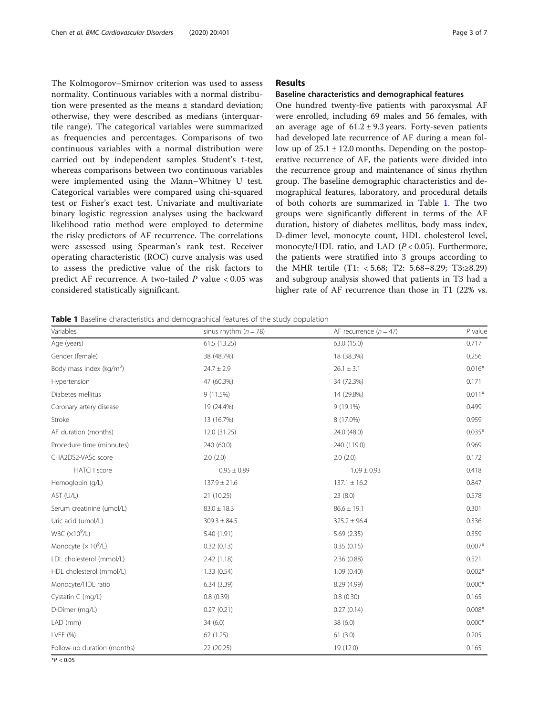The Kolmogorov–Smirnov criterion was used to assess normality. Continuous variables with a normal distribution were presented as the means  $\pm$  standard deviation; otherwise, they were described as medians (interquartile range). The categorical variables were summarized as frequencies and percentages. Comparisons of two continuous variables with a normal distribution were carried out by independent samples Student's t-test, whereas comparisons between two continuous variables were implemented using the Mann–Whitney U test. Categorical variables were compared using chi-squared test or Fisher's exact test. Univariate and multivariate binary logistic regression analyses using the backward likelihood ratio method were employed to determine the risky predictors of AF recurrence. The correlations were assessed using Spearman's rank test. Receiver operating characteristic (ROC) curve analysis was used to assess the predictive value of the risk factors to predict AF recurrence. A two-tailed  $P$  value < 0.05 was considered statistically significant.

# Results

#### Baseline characteristics and demographical features

One hundred twenty-five patients with paroxysmal AF were enrolled, including 69 males and 56 females, with an average age of  $61.2 \pm 9.3$  years. Forty-seven patients had developed late recurrence of AF during a mean follow up of  $25.1 \pm 12.0$  months. Depending on the postoperative recurrence of AF, the patients were divided into the recurrence group and maintenance of sinus rhythm group. The baseline demographic characteristics and demographical features, laboratory, and procedural details of both cohorts are summarized in Table 1. The two groups were significantly different in terms of the AF duration, history of diabetes mellitus, body mass index, D-dimer level, monocyte count, HDL cholesterol level, monocyte/HDL ratio, and LAD ( $P < 0.05$ ). Furthermore, the patients were stratified into 3 groups according to the MHR tertile (T1: < 5.68; T2: 5.68–8.29; T3:≥8.29) and subgroup analysis showed that patients in T3 had a higher rate of AF recurrence than those in T1 (22% vs.

Table 1 Baseline characteristics and demographical features of the study population

| Variables                   | sinus rhythm $(n = 78)$ | AF recurrence $(n = 47)$ | $P$ value |
|-----------------------------|-------------------------|--------------------------|-----------|
| Age (years)                 | 61.5 (13.25)            | 63.0 (15.0)              | 0.717     |
| Gender (female)             | 38 (48.7%)              | 18 (38.3%)               | 0.256     |
| Body mass index ( $kg/m2$ ) | $24.7 \pm 2.9$          | $26.1 \pm 3.1$           | $0.016*$  |
| Hypertension                | 47 (60.3%)              | 34 (72.3%)               | 0.171     |
| Diabetes mellitus           | 9(11.5%)                | 14 (29.8%)               | $0.011*$  |
| Coronary artery disease     | 19 (24.4%)              | $9(19.1\%)$              | 0.499     |
| Stroke                      | 13 (16.7%)              | 8 (17.0%)                | 0.959     |
| AF duration (months)        | 12.0 (31.25)            | 24.0 (48.0)              | $0.035*$  |
| Procedure time (minnutes)   | 240 (60.0)              | 240 (119.0)              | 0.969     |
| CHA2DS2-VASc score          | 2.0(2.0)                | 2.0(2.0)                 | 0.172     |
| <b>HATCH</b> score          | $0.95 \pm 0.89$         | $1.09 \pm 0.93$          | 0.418     |
| Hemoglobin (g/L)            | $137.9 \pm 21.6$        | $137.1 \pm 16.2$         | 0.847     |
| AST (U/L)                   | 21 (10.25)              | 23(8.0)                  | 0.578     |
| Serum creatinine (umol/L)   | $83.0 \pm 18.3$         | $86.6 \pm 19.1$          | 0.301     |
| Uric acid (umol/L)          | $309.3 \pm 84.5$        | $325.2 \pm 96.4$         | 0.336     |
| WBC $(x10^9/L)$             | 5.40 (1.91)             | 5.69 (2.35)              | 0.359     |
| Monocyte $(x 10^9/L)$       | 0.32(0.13)              | 0.35(0.15)               | $0.007*$  |
| LDL cholesterol (mmol/L)    | 2.42(1.18)              | 2.36(0.88)               | 0.521     |
| HDL cholesterol (mmol/L)    | 1.33(0.54)              | 1.09(0.40)               | $0.002*$  |
| Monocyte/HDL ratio          | 6.34(3.39)              | 8.29 (4.99)              | $0.000*$  |
| Cystatin C (mg/L)           | 0.8(0.39)               | 0.8(0.30)                | 0.165     |
| D-Dimer (mg/L)              | 0.27(0.21)              | 0.27(0.14)               | $0.008*$  |
| LAD (mm)                    | 34(6.0)                 | 38 (6.0)                 | $0.000*$  |
| LVEF (%)                    | 62 (1.25)               | 61(3.0)                  | 0.205     |
| Follow-up duration (months) | 22 (20.25)              | 19 (12.0)                | 0.165     |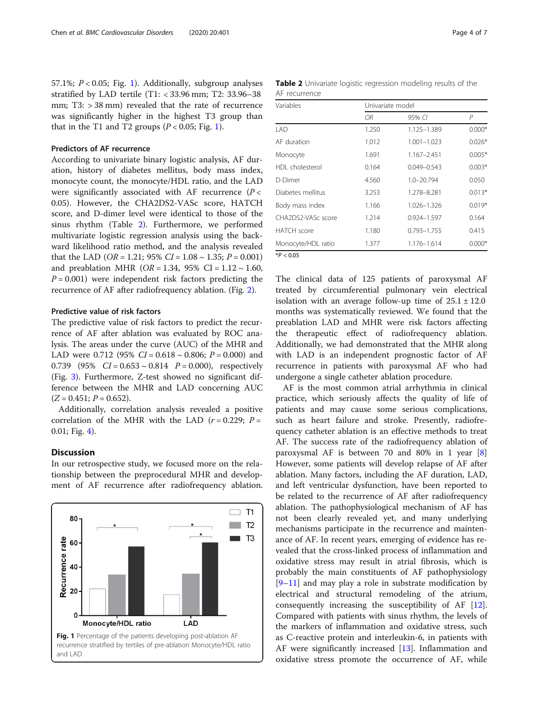57.1%;  $P < 0.05$ ; Fig. 1). Additionally, subgroup analyses stratified by LAD tertile (T1: < 33.96 mm; T2: 33.96–38 mm; T3: > 38 mm) revealed that the rate of recurrence was significantly higher in the highest T3 group than that in the T1 and T2 groups  $(P < 0.05$ ; Fig. 1).

# Predictors of AF recurrence

According to univariate binary logistic analysis, AF duration, history of diabetes mellitus, body mass index, monocyte count, the monocyte/HDL ratio, and the LAD were significantly associated with AF recurrence  $(P <$ 0.05). However, the CHA2DS2-VASc score, HATCH score, and D-dimer level were identical to those of the sinus rhythm (Table 2). Furthermore, we performed multivariate logistic regression analysis using the backward likelihood ratio method, and the analysis revealed that the LAD (*OR* = 1.21; 95% *CI* = 1.08  $\sim$  1.35; *P* = 0.001) and preablation MHR ( $OR = 1.34$ , 95% CI = 1.12 ~ 1.60,  $P = 0.001$ ) were independent risk factors predicting the recurrence of AF after radiofrequency ablation. (Fig. [2](#page-4-0)).

# Predictive value of risk factors

The predictive value of risk factors to predict the recurrence of AF after ablation was evaluated by ROC analysis. The areas under the curve (AUC) of the MHR and LAD were 0.712 (95%  $CI = 0.618 \sim 0.806$ ;  $P = 0.000$ ) and 0.739 (95%  $CI = 0.653 \sim 0.814$   $P = 0.000$ ), respectively (Fig. [3\)](#page-4-0). Furthermore, Z-test showed no significant difference between the MHR and LAD concerning AUC  $(Z = 0.451; P = 0.652)$ .

Additionally, correlation analysis revealed a positive correlation of the MHR with the LAD ( $r = 0.229$ ;  $P =$ 0.01; Fig. [4](#page-5-0)).

# **Discussion**

In our retrospective study, we focused more on the relationship between the preprocedural MHR and development of AF recurrence after radiofrequency ablation.



Table 2 Univariate logistic regression modeling results of the AF recurrence

| Variables          | Univariate model |                 |          |
|--------------------|------------------|-----------------|----------|
|                    | OR.              | 95% CI          | P        |
| LAD                | 1.250            | 1.125-1.389     | $0.000*$ |
| AF duration        | 1.012            | $1.001 - 1.023$ | $0.026*$ |
| Monocyte           | 1.691            | 1.167-2.451     | $0.005*$ |
| HDI cholesterol    | 0.164            | $0.049 - 0.543$ | $0.003*$ |
| D-Dimer            | 4.560            | 1.0-20.794      | 0.050    |
| Diabetes mellitus  | 3.253            | 1.278-8.281     | $0.013*$ |
| Body mass index    | 1.166            | 1.026-1.326     | $0.019*$ |
| CHA2DS2-VASc score | 1.214            | 0.924-1.597     | 0.164    |
| HATCH score        | 1.180            | 0.793-1.755     | 0.415    |
| Monocyte/HDL ratio | 1.377            | 1.176-1.614     | $0.000*$ |
|                    |                  |                 |          |

 $*P < 0.05$ 

The clinical data of 125 patients of paroxysmal AF treated by circumferential pulmonary vein electrical isolation with an average follow-up time of  $25.1 \pm 12.0$ months was systematically reviewed. We found that the preablation LAD and MHR were risk factors affecting the therapeutic effect of radiofrequency ablation. Additionally, we had demonstrated that the MHR along with LAD is an independent prognostic factor of AF recurrence in patients with paroxysmal AF who had undergone a single catheter ablation procedure.

AF is the most common atrial arrhythmia in clinical practice, which seriously affects the quality of life of patients and may cause some serious complications, such as heart failure and stroke. Presently, radiofrequency catheter ablation is an effective methods to treat AF. The success rate of the radiofrequency ablation of paroxysmal AF is between 70 and 80% in 1 year  $[8]$  $[8]$ However, some patients will develop relapse of AF after ablation. Many factors, including the AF duration, LAD, and left ventricular dysfunction, have been reported to be related to the recurrence of AF after radiofrequency ablation. The pathophysiological mechanism of AF has not been clearly revealed yet, and many underlying mechanisms participate in the recurrence and maintenance of AF. In recent years, emerging of evidence has revealed that the cross-linked process of inflammation and oxidative stress may result in atrial fibrosis, which is probably the main constituents of AF pathophysiology [[9](#page-6-0)–[11\]](#page-6-0) and may play a role in substrate modification by electrical and structural remodeling of the atrium, consequently increasing the susceptibility of AF [\[12](#page-6-0)]. Compared with patients with sinus rhythm, the levels of the markers of inflammation and oxidative stress, such as C-reactive protein and interleukin-6, in patients with AF were significantly increased [[13\]](#page-6-0). Inflammation and oxidative stress promote the occurrence of AF, while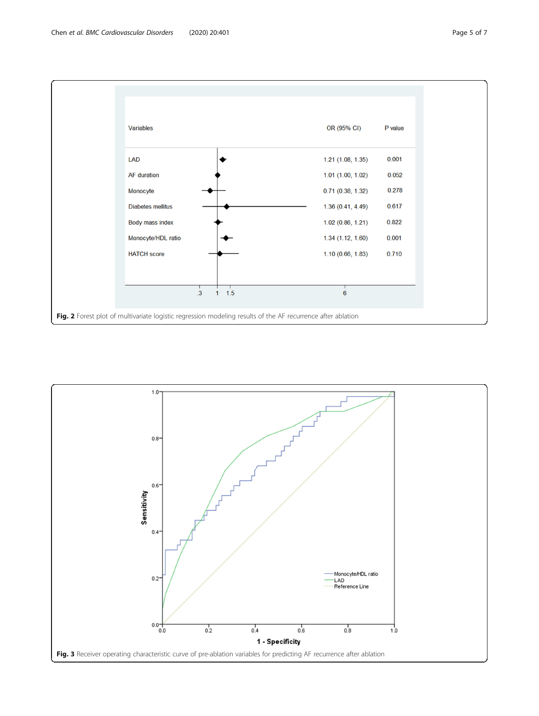<span id="page-4-0"></span>

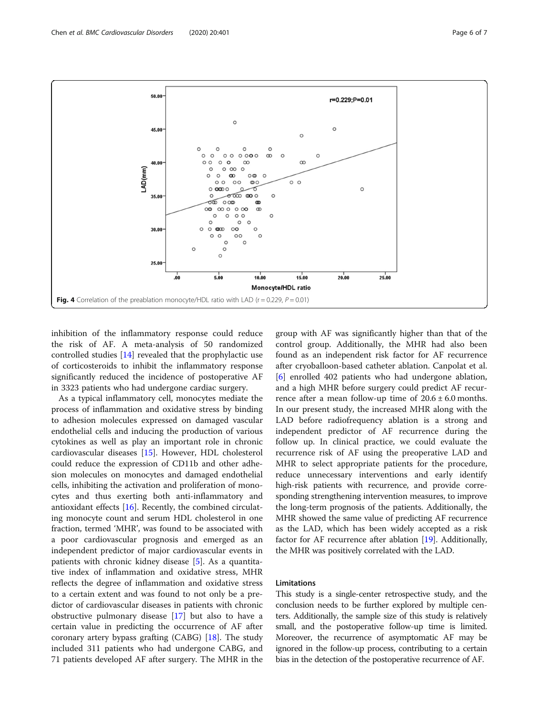inhibition of the inflammatory response could reduce the risk of AF. A meta-analysis of 50 randomized controlled studies [[14\]](#page-6-0) revealed that the prophylactic use of corticosteroids to inhibit the inflammatory response significantly reduced the incidence of postoperative AF in 3323 patients who had undergone cardiac surgery.

As a typical inflammatory cell, monocytes mediate the process of inflammation and oxidative stress by binding to adhesion molecules expressed on damaged vascular endothelial cells and inducing the production of various cytokines as well as play an important role in chronic cardiovascular diseases [\[15\]](#page-6-0). However, HDL cholesterol could reduce the expression of CD11b and other adhesion molecules on monocytes and damaged endothelial cells, inhibiting the activation and proliferation of monocytes and thus exerting both anti-inflammatory and antioxidant effects [\[16](#page-6-0)]. Recently, the combined circulating monocyte count and serum HDL cholesterol in one fraction, termed 'MHR', was found to be associated with a poor cardiovascular prognosis and emerged as an independent predictor of major cardiovascular events in patients with chronic kidney disease [\[5\]](#page-6-0). As a quantitative index of inflammation and oxidative stress, MHR reflects the degree of inflammation and oxidative stress to a certain extent and was found to not only be a predictor of cardiovascular diseases in patients with chronic obstructive pulmonary disease [\[17](#page-6-0)] but also to have a certain value in predicting the occurrence of AF after coronary artery bypass grafting  $(CABG)$  [[18\]](#page-6-0). The study included 311 patients who had undergone CABG, and 71 patients developed AF after surgery. The MHR in the

group with AF was significantly higher than that of the control group. Additionally, the MHR had also been found as an independent risk factor for AF recurrence after cryoballoon-based catheter ablation. Canpolat et al. [[6\]](#page-6-0) enrolled 402 patients who had undergone ablation, and a high MHR before surgery could predict AF recurrence after a mean follow-up time of  $20.6 \pm 6.0$  months. In our present study, the increased MHR along with the LAD before radiofrequency ablation is a strong and independent predictor of AF recurrence during the follow up. In clinical practice, we could evaluate the recurrence risk of AF using the preoperative LAD and MHR to select appropriate patients for the procedure, reduce unnecessary interventions and early identify high-risk patients with recurrence, and provide corresponding strengthening intervention measures, to improve the long-term prognosis of the patients. Additionally, the MHR showed the same value of predicting AF recurrence as the LAD, which has been widely accepted as a risk factor for AF recurrence after ablation [\[19\]](#page-6-0). Additionally, the MHR was positively correlated with the LAD.

# Limitations

This study is a single-center retrospective study, and the conclusion needs to be further explored by multiple centers. Additionally, the sample size of this study is relatively small, and the postoperative follow-up time is limited. Moreover, the recurrence of asymptomatic AF may be ignored in the follow-up process, contributing to a certain bias in the detection of the postoperative recurrence of AF.

<span id="page-5-0"></span>